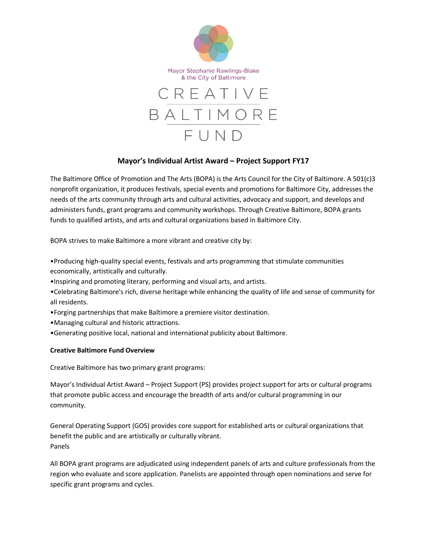

## **Mayor's Individual Artist Award – Project Support FY17**

The Baltimore Office of Promotion and The Arts (BOPA) is the Arts Council for the City of Baltimore. A 501(c)3 nonprofit organization, it produces festivals, special events and promotions for Baltimore City, addresses the needs of the arts community through arts and cultural activities, advocacy and support, and develops and administers funds, grant programs and community workshops. Through Creative Baltimore, BOPA grants funds to qualified artists, and arts and cultural organizations based in Baltimore City.

BOPA strives to make Baltimore a more vibrant and creative city by:

•Producing high-quality special events, festivals and arts programming that stimulate communities economically, artistically and culturally.

- •Inspiring and promoting literary, performing and visual arts, and artists.
- •Celebrating Baltimore's rich, diverse heritage while enhancing the quality of life and sense of community for all residents.
- •Forging partnerships that make Baltimore a premiere visitor destination.
- •Managing cultural and historic attractions.
- •Generating positive local, national and international publicity about Baltimore.

### **Creative Baltimore Fund Overview**

Creative Baltimore has two primary grant programs:

Mayor's Individual Artist Award – Project Support (PS) provides project support for arts or cultural programs that promote public access and encourage the breadth of arts and/or cultural programming in our community.

General Operating Support (GOS) provides core support for established arts or cultural organizations that benefit the public and are artistically or culturally vibrant. Panels

All BOPA grant programs are adjudicated using independent panels of arts and culture professionals from the region who evaluate and score application. Panelists are appointed through open nominations and serve for specific grant programs and cycles.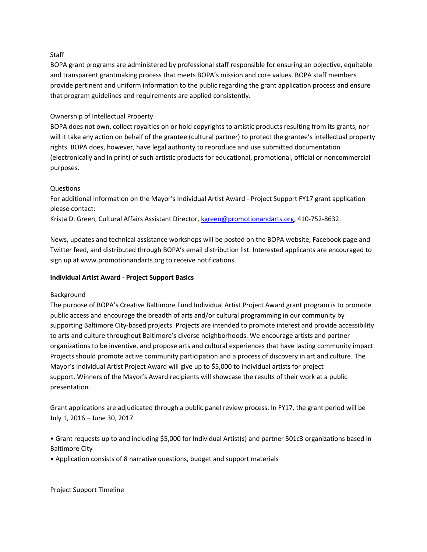## Staff

BOPA grant programs are administered by professional staff responsible for ensuring an objective, equitable and transparent grantmaking process that meets BOPA's mission and core values. BOPA staff members provide pertinent and uniform information to the public regarding the grant application process and ensure that program guidelines and requirements are applied consistently.

# Ownership of Intellectual Property

BOPA does not own, collect royalties on or hold copyrights to artistic products resulting from its grants, nor will it take any action on behalf of the grantee (cultural partner) to protect the grantee's intellectual property rights. BOPA does, however, have legal authority to reproduce and use submitted documentation (electronically and in print) of such artistic products for educational, promotional, official or noncommercial purposes.

## Questions

For additional information on the Mayor's Individual Artist Award - Project Support FY17 grant application please contact:

Krista D. Green, Cultural Affairs Assistant Director, [kgreen@promotionandarts.org,](mailto:kgreen@promotionandarts.org) 410-752-8632.

News, updates and technical assistance workshops will be posted on the BOPA website, Facebook page and Twitter feed, and distributed through BOPA's email distribution list. Interested applicants are encouraged to sign up at www.promotionandarts.org to receive notifications.

## **Individual Artist Award - Project Support Basics**

## Background

The purpose of BOPA's Creative Baltimore Fund Individual Artist Project Award grant program is to promote public access and encourage the breadth of arts and/or cultural programming in our community by supporting Baltimore City-based projects. Projects are intended to promote interest and provide accessibility to arts and culture throughout Baltimore's diverse neighborhoods. We encourage artists and partner organizations to be inventive, and propose arts and cultural experiences that have lasting community impact. Projects should promote active community participation and a process of discovery in art and culture. The Mayor's Individual Artist Project Award will give up to \$5,000 to individual artists for project support. Winners of the Mayor's Award recipients will showcase the results of their work at a public presentation.

Grant applications are adjudicated through a public panel review process. In FY17, the grant period will be July 1, 2016 – June 30, 2017.

• Grant requests up to and including \$5,000 for Individual Artist(s) and partner 501c3 organizations based in Baltimore City

• Application consists of 8 narrative questions, budget and support materials

Project Support Timeline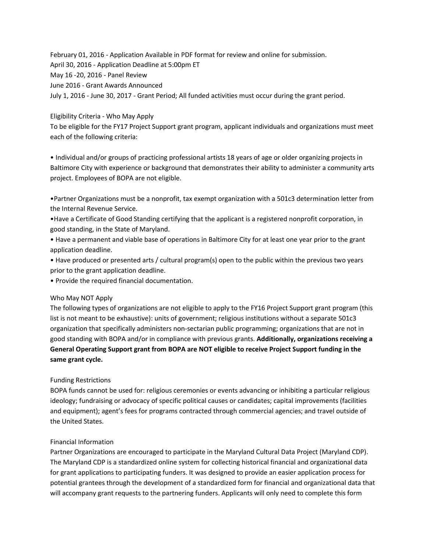February 01, 2016 - Application Available in PDF format for review and online for submission. April 30, 2016 - Application Deadline at 5:00pm ET May 16 -20, 2016 - Panel Review June 2016 - Grant Awards Announced July 1, 2016 - June 30, 2017 - Grant Period; All funded activities must occur during the grant period.

# Eligibility Criteria - Who May Apply To be eligible for the FY17 Project Support grant program, applicant individuals and organizations must meet each of the following criteria:

• Individual and/or groups of practicing professional artists 18 years of age or older organizing projects in Baltimore City with experience or background that demonstrates their ability to administer a community arts project. Employees of BOPA are not eligible.

•Partner Organizations must be a nonprofit, tax exempt organization with a 501c3 determination letter from the Internal Revenue Service.

•Have a Certificate of Good Standing certifying that the applicant is a registered nonprofit corporation, in good standing, in the State of Maryland.

• Have a permanent and viable base of operations in Baltimore City for at least one year prior to the grant application deadline.

• Have produced or presented arts / cultural program(s) open to the public within the previous two years prior to the grant application deadline.

• Provide the required financial documentation.

### Who May NOT Apply

The following types of organizations are not eligible to apply to the FY16 Project Support grant program (this list is not meant to be exhaustive): units of government; religious institutions without a separate 501c3 organization that specifically administers non-sectarian public programming; organizations that are not in good standing with BOPA and/or in compliance with previous grants. **Additionally, organizations receiving a General Operating Support grant from BOPA are NOT eligible to receive Project Support funding in the same grant cycle.**

## Funding Restrictions

BOPA funds cannot be used for: religious ceremonies or events advancing or inhibiting a particular religious ideology; fundraising or advocacy of specific political causes or candidates; capital improvements (facilities and equipment); agent's fees for programs contracted through commercial agencies; and travel outside of the United States.

### Financial Information

Partner Organizations are encouraged to participate in the Maryland Cultural Data Project (Maryland CDP). The Maryland CDP is a standardized online system for collecting historical financial and organizational data for grant applications to participating funders. It was designed to provide an easier application process for potential grantees through the development of a standardized form for financial and organizational data that will accompany grant requests to the partnering funders. Applicants will only need to complete this form